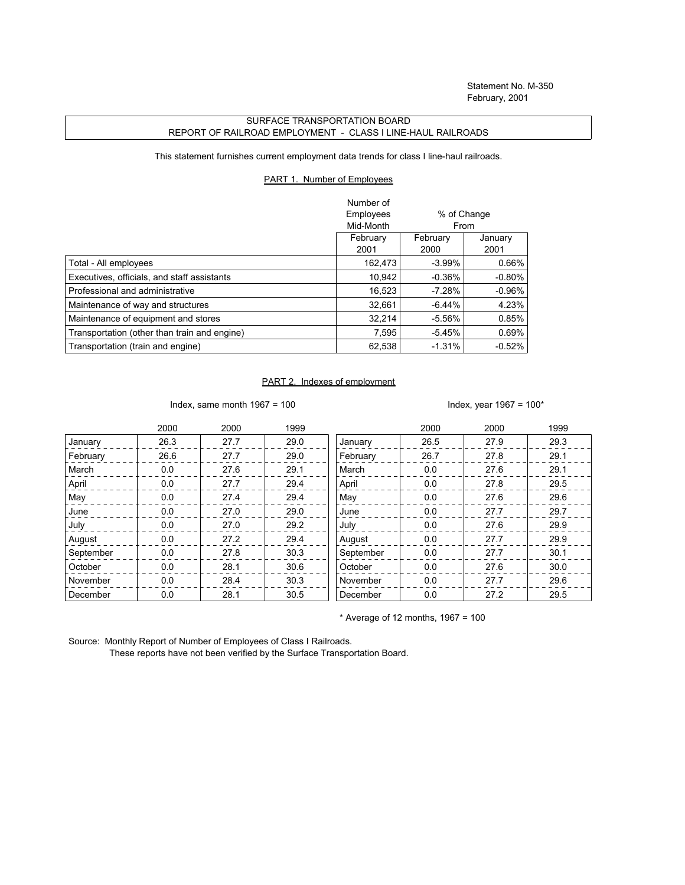## SURFACE TRANSPORTATION BOARD REPORT OF RAILROAD EMPLOYMENT - CLASS I LINE-HAUL RAILROADS

This statement furnishes current employment data trends for class I line-haul railroads.

## PART 1. Number of Employees

|                                              | Number of<br>Employees<br>% of Change<br>Mid-Month<br>From |                  |                 |
|----------------------------------------------|------------------------------------------------------------|------------------|-----------------|
|                                              | February<br>2001                                           | February<br>2000 | January<br>2001 |
| Total - All employees                        | 162,473                                                    | $-3.99\%$        | 0.66%           |
| Executives, officials, and staff assistants  | 10,942                                                     | $-0.36%$         | $-0.80%$        |
| Professional and administrative              | 16,523                                                     | $-7.28%$         | $-0.96%$        |
| Maintenance of way and structures            | 32.661                                                     | $-6.44\%$        | 4.23%           |
| Maintenance of equipment and stores          | 32.214                                                     | $-5.56\%$        | 0.85%           |
| Transportation (other than train and engine) | 7,595                                                      | $-5.45%$         | 0.69%           |
| Transportation (train and engine)            | 62,538                                                     | $-1.31%$         | $-0.52%$        |

## PART 2. Indexes of employment

Index, same month  $1967 = 100$  Index, year  $1967 = 100*$ 

|           | 2000 | 2000 | 1999 |           | 2000 | 2000 | 1999 |
|-----------|------|------|------|-----------|------|------|------|
| January   | 26.3 | 27.7 | 29.0 | January   | 26.5 | 27.9 | 29.3 |
| February  | 26.6 | 27.7 | 29.0 | February  | 26.7 | 27.8 | 29.1 |
| March     | 0.0  | 27.6 | 29.1 | March     | 0.0  | 27.6 | 29.1 |
| April     | 0.0  | 27.7 | 29.4 | April     | 0.0  | 27.8 | 29.5 |
| May       | 0.0  | 27.4 | 29.4 | May       | 0.0  | 27.6 | 29.6 |
| June      | 0.0  | 27.0 | 29.0 | June      | 0.0  | 27.7 | 29.7 |
| July      | 0.0  | 27.0 | 29.2 | July      | 0.0  | 27.6 | 29.9 |
| August    | 0.0  | 27.2 | 29.4 | August    | 0.0  | 27.7 | 29.9 |
| September | 0.0  | 27.8 | 30.3 | September | 0.0  | 27.7 | 30.1 |
| October   | 0.0  | 28.1 | 30.6 | October   | 0.0  | 27.6 | 30.0 |
| November  | 0.0  | 28.4 | 30.3 | November  | 0.0  | 27.7 | 29.6 |
| December  | 0.0  | 28.1 | 30.5 | December  | 0.0  | 27.2 | 29.5 |

 $*$  Average of 12 months, 1967 = 100

Source: Monthly Report of Number of Employees of Class I Railroads.

These reports have not been verified by the Surface Transportation Board.